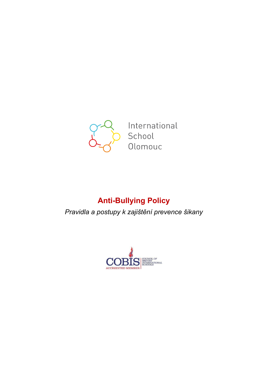

International School Olomouc

# **Anti-Bullying Policy**

*Pravidla a postupy k zajištění prevence šikany*

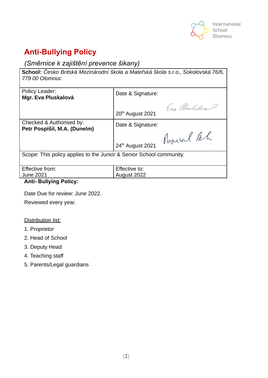

# **Anti-Bullying Policy**

# *(Směrnice k zajištění prevence šikany)*

| School: Česko Britská Mezinárodní škola a Mateřská škola s.r.o., Sokolovská 76/6,<br>779 00 Olomouc |                              |
|-----------------------------------------------------------------------------------------------------|------------------------------|
| Policy Leader:<br>Mgr. Eva Pluskalová                                                               | Date & Signature:            |
|                                                                                                     | Eva Plushelora T             |
|                                                                                                     | 20 <sup>th</sup> August 2021 |
| Checked & Authorised by:<br>Petr Pospíšil, M.A. (Dunelm)                                            | Date & Signature:            |
|                                                                                                     | Popul Rh                     |
|                                                                                                     | 24th August 2021             |
| Scope: This policy applies to the Junior & Senior School community.                                 |                              |
|                                                                                                     |                              |
| Effective from:                                                                                     | Effective to:                |
| <b>June 2021</b>                                                                                    | August 2022                  |

### **Anti- Bullying Policy:**

Date Due for review: June 2022.

Reviewed every year.

### Distribution list:

- 1. Proprietor
- 2. Head of School
- 3. Deputy Head
- 4. Teaching staff
- 5. Parents/Legal guardians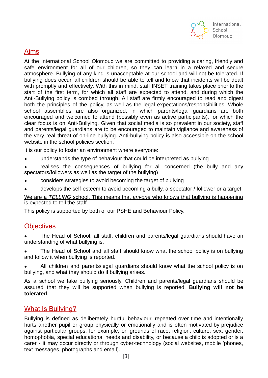

# Aims

At the International School Olomouc we are committed to providing a caring, friendly and safe environment for all of our children, so they can learn in a relaxed and secure atmosphere. Bullying of any kind is unacceptable at our school and will not be tolerated. If bullying does occur, all children should be able to tell and know that incidents will be dealt with promptly and effectively. With this in mind, staff INSET training takes place prior to the start of the first term, for which all staff are expected to attend, and during which the Anti-Bullying policy is combed through. All staff are firmly encouraged to read and digest both the principles of the policy, as well as the legal expectations/responsibilities. Whole school assemblies are also organized, in which parents/legal guardians are both encouraged and welcomed to attend (possibly even as active participants), for which the clear focus is on Anti-Bullying. Given that social media is so prevalent in our society, staff and parents/legal guardians are to be encouraged to maintain vigilance and awareness of the very real threat of on-line bullying. Anti-bullying policy is also accessibĺe on the school website in the school policies section.

It is our policy to foster an environment where everyone:

- understands the type of behaviour that could be interpreted as bullying
- realises the consequences of bullying for all concerned (the bully and any spectators/followers as well as the target of the bullying)
- considers strategies to avoid becoming the target of bullying
- develops the self-esteem to avoid becoming a bully, a spectator / follower or a target

We are a *TELLING* school. This means that *anyone* who knows that bullying is happening is expected to tell the staff.

This policy is supported by both of our PSHE and Behaviour Policy.

### **Objectives**

The Head of School, all staff, children and parents/legal guardians should have an understanding of what bullying is.

• The Head of School and all staff should know what the school policy is on bullying and follow it when bullying is reported.

All children and parents/legal guardians should know what the school policy is on bullying, and what they should do if bullying arises.

As a school we take bullying seriously. Children and parents/legal guardians should be assured that they will be supported when bullying is reported. **Bullying will not be tolerated**.

### What Is Bullying?

Bullying is defined as deliberately hurtful behaviour, repeated over time and intentionally hurts another pupil or group physically or emotionally and is often motivated by prejudice against particular groups, for example, on grounds of race, religion, culture, sex, gender, homophobia, special educational needs and disability, or because a child is adopted or is a carer - it may occur directly or through cyber-technology (social websites, mobile 'phones, text messages, photographs and email).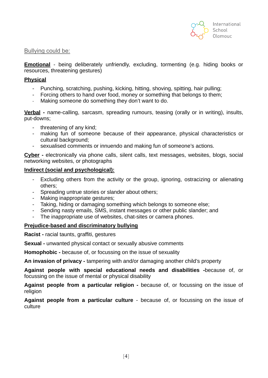

#### Bullying could be:

**Emotional** - being deliberately unfriendly, excluding, tormenting (e.g. hiding books or resources, threatening gestures)

#### **Physical**

- Punching, scratching, pushing, kicking, hitting, shoving, spitting, hair pulling;
- Forcing others to hand over food, money or something that belongs to them;
- Making someone do something they don't want to do.

**Verbal -** name-calling, sarcasm, spreading rumours, teasing (orally or in writing), insults, put-downs;

- threatening of any kind;
- making fun of someone because of their appearance, physical characteristics or cultural background;
- sexualised comments or innuendo and making fun of someone's actions.

**Cyber -** electronically via phone calls, silent calls, text messages, websites, blogs, social networking websites, or photographs

#### **Indirect (social and psychological):**

- Excluding others from the activity or the group, ignoring, ostracizing or alienating others;
- Spreading untrue stories or slander about others;
- Making inappropriate gestures;
- Taking, hiding or damaging something which belongs to someone else;
- Sending nasty emails, SMS, instant messages or other public slander; and
- The inappropriate use of websites, chat-sites or camera phones.

#### **Prejudice-based and discriminatory bullying**

**Racist -** racial taunts, graffiti, gestures

**Sexual -** unwanted physical contact or sexually abusive comments

**Homophobic -** because of, or focussing on the issue of sexuality

**An invasion of privacy -** tampering with and/or damaging another child's property

**Against people with special educational needs and disabilities -**because of, or focussing on the issue of mental or physical disability

**Against people from a particular religion -** because of, or focussing on the issue of religion

**Against people from a particular culture** - because of, or focussing on the issue of culture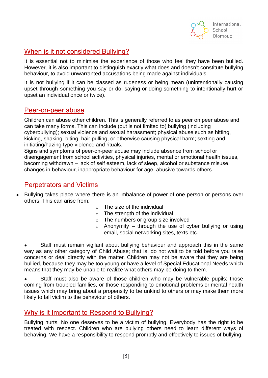

# When is it not considered Bullying?

It is essential not to minimise the experience of those who feel they have been bullied. However, it is also important to distinguish exactly what does and doesn't constitute bullying behaviour, to avoid unwarranted accusations being made against individuals.

It is not bullying if it can be classed as rudeness or being mean (unintentionally causing upset through something you say or do, saying or doing something to intentionally hurt or upset an individual once or twice).

### Peer-on-peer abuse

Children can abuse other children. This is generally referred to as peer on peer abuse and can take many forms. This can include (but is not limited to) bullying (including cyberbullying); sexual violence and sexual harassment; physical abuse such as hitting, kicking, shaking, biting, hair pulling, or otherwise causing physical harm; sexting and initiating/hazing type violence and rituals.

Signs and symptoms of peer-on-peer abuse may include absence from school or disengagement from school activities, physical injuries, mental or emotional health issues, becoming withdrawn – lack of self esteem, lack of sleep, alcohol or substance misuse, changes in behaviour, inappropriate behaviour for age, abusive towards others.

# Perpetrators and Victims

- Bullying takes place where there is an imbalance of power of one person or persons over others. This can arise from:
	- $\circ$  The size of the individual
	- $\circ$  The strength of the individual
	- $\circ$  The numbers or group size involved
	- $\circ$  Anonymity through the use of cyber bullying or using email, social networking sites, texts etc.

Staff must remain vigilant about bullying behaviour and approach this in the same way as any other category of Child Abuse; that is, do not wait to be told before you raise concerns or deal directly with the matter. Children may not be aware that they are being bullied, because they may be too young or have a level of Special Educational Needs which means that they may be unable to realize what others may be doing to them.

Staff must also be aware of those children who may be vulnerable pupils; those coming from troubled families, or those responding to emotional problems or mental health issues which may bring about a propensity to be unkind to others or may make them more likely to fall victim to the behaviour of others.

# Why is it Important to Respond to Bullying?

Bullying hurts. No one deserves to be a victim of bullying. Everybody has the right to be treated with respect. Children who are bullying others need to learn different ways of behaving. We have a responsibility to respond promptly and effectively to issues of bullying.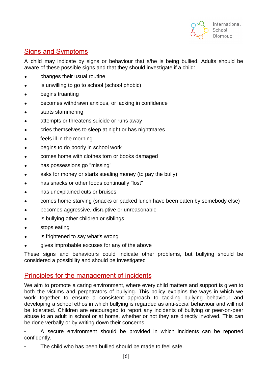

# Signs and Symptoms

A child may indicate by signs or behaviour that s/he is being bullied. Adults should be aware of these possible signs and that they should investigate if a child:

- changes their usual routine
- is unwilling to go to school (school phobic)
- begins truanting
- becomes withdrawn anxious, or lacking in confidence
- starts stammering
- attempts or threatens suicide or runs away
- cries themselves to sleep at night or has nightmares
- feels ill in the morning
- begins to do poorly in school work
- comes home with clothes torn or books damaged
- has possessions go "missing"
- asks for money or starts stealing money (to pay the bully)
- has snacks or other foods continually "lost"
- has unexplained cuts or bruises
- comes home starving (snacks or packed lunch have been eaten by somebody else)
- becomes aggressive, disruptive or unreasonable
- is bullying other children or siblings
- stops eating
- is frightened to say what's wrong
- gives improbable excuses for any of the above

These signs and behaviours could indicate other problems, but bullying should be considered a possibility and should be investigated

### Principles for the management of incidents

We aim to promote a caring environment, where every child matters and support is given to both the victims and perpetrators of bullying. This policy explains the ways in which we work together to ensure a consistent approach to tackling bullying behaviour and developing a school ethos in which bullying is regarded as anti-social behaviour and will not be tolerated. Children are encouraged to report any incidents of bullying or peer-on-peer abuse to an adult in school or at home, whether or not they are directly involved. This can be done verbally or by writing down their concerns.

• A secure environment should be provided in which incidents can be reported confidently.

The child who has been bullied should be made to feel safe.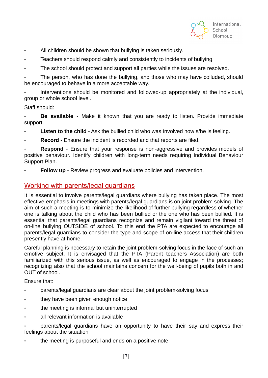

- All children should be shown that bullying is taken seriously.
- Teachers should respond calmly and consistently to incidents of bullying.
- The school should protect and support all parties while the issues are resolved.

The person, who has done the bullying, and those who may have colluded, should be encouraged to behave in a more acceptable way.

• Interventions should be monitored and followed-up appropriately at the individual, group or whole school level.

### Staff should:

• **Be available** - Make it known that you are ready to listen. Provide immediate support.

- **Listen to the child** Ask the bullied child who was involved how s/he is feeling.
- **Record** Ensure the incident is recorded and that reports are filed.

**Respond** - Ensure that your response is non-aggressive and provides models of positive behaviour. Identify children with long-term needs requiring Individual Behaviour Support Plan.

**Follow up** - Review progress and evaluate policies and intervention.

### Working with parents/legal guardians

It is essential to involve parents/legal guardians where bullying has taken place. The most effective emphasis in meetings with parents/legal guardians is on joint problem solving. The aim of such a meeting is to minimize the likelihood of further bullying regardless of whether one is talking about the child who has been bullied or the one who has been bullied. It is essential that parents/legal guardians recognize and remain vigilant toward the threat of on-line bullying OUTSIDE of school. To this end the PTA are expected to encourage all parents/legal guardians to consider the type and scope of on-line access that their children presently have at home.

Careful planning is necessary to retain the joint problem-solving focus in the face of such an emotive subject. It is envisaged that the PTA (Parent teachers Association) are both familiarized with this serious issue, as well as encouraged to engage in the processes; recognizing also that the school maintains concern for the well-being of pupils both in and OUT of school.

#### Ensure that:

- parents/legal guardians are clear about the joint problem-solving focus
- they have been given enough notice
- the meeting is informal but uninterrupted
- all relevant information is available
- parents/legal guardians have an opportunity to have their say and express their feelings about the situation
- the meeting is purposeful and ends on a positive note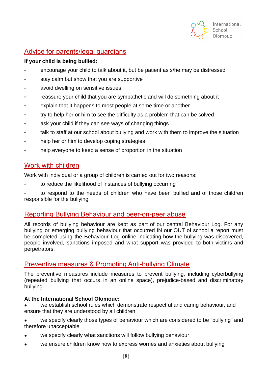

# Advice for parents/legal guardians

### **If your child is being bullied:**

- encourage your child to talk about it, but be patient as s/he may be distressed
- stay calm but show that you are supportive
- avoid dwelling on sensitive issues
- reassure your child that you are sympathetic and will do something about it
- explain that it happens to most people at some time or another
- try to help her or him to see the difficulty as a problem that can be solved
- ask your child if they can see ways of changing things
- talk to staff at our school about bullying and work with them to improve the situation
- help her or him to develop coping strategies
- help everyone to keep a sense of proportion in the situation

# Work with children

Work with individual or a group of children is carried out for two reasons:

• to reduce the likelihood of instances of bullying occurring

• to respond to the needs of children who have been bullied and of those children responsible for the bullying

### Reporting Bullying Behaviour and peer-on-peer abuse

All records of bullying behaviour are kept as part of our central Behaviour Log. For any bullying or emerging bullying behaviour that occurred IN our OUT of school a report must be completed using the Behaviour Log online indicating how the bullying was discovered, people involved, sanctions imposed and what support was provided to both victims and perpetrators.

# Preventive measures & Promoting Anti-bullying Climate

The preventive measures include measures to prevent bullying, including cyberbullying (repeated bullying that occurs in an online space), prejudice-based and discriminatory bullying.

### **At the International School Olomouc**:

we establish school rules which demonstrate respectful and caring behaviour, and ensure that they are understood by all children

we specify clearly those types of behaviour which are considered to be "bullying" and therefore unacceptable

- we specify clearly what sanctions will follow bullying behaviour
- we ensure children know how to express worries and anxieties about bullying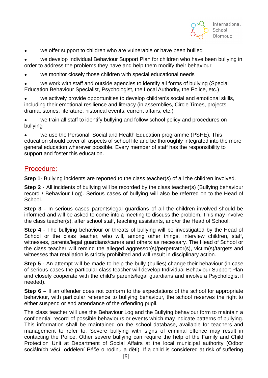

• we offer support to children who are vulnerable or have been bullied

• we develop Individual Behaviour Support Plan for children who have been bullying in order to address the problems they have and help them modify their behaviour

we monitor closely those children with special educational needs

we work with staff and outside agencies to identify all forms of bullying (Special Education Behaviour Specialist, Psychologist, the Local Authority, the Police, etc.)

we actively provide opportunities to develop children's social and emotional skills, including their emotional resilience and literacy (in assemblies, Circle Times, projects, drama, stories, literature, historical events, current affairs, etc.)

• we train all staff to identify bullying and follow school policy and procedures on bullying

we use the Personal, Social and Health Education programme (PSHE). This education should cover all aspects of school life and be thoroughly integrated into the more general education wherever possible. Every member of staff has the responsibility to support and foster this education.

### Procedure:

**Step 1**- Bullying incidents are reported to the class teacher(s) of all the children involved.

**Step 2** - All incidents of bullying will be recorded by the class teacher(s) (Bullying behaviour record / Behaviour Log). Serious cases of bullying will also be referred on to the Head of School.

**Step 3** - In serious cases parents/legal guardians of all the children involved should be informed and will be asked to come into a meeting to discuss the problem. This may involve the class teacher(s), after school staff, teaching assistants, and/or the Head of School.

**Step 4** - The bullying behaviour or threats of bullying will be investigated by the Head of School or the class teacher, who will, among other things, interview children, staff, witnesses, parents/legal guardians/carers and others as necessary. The Head of School or the class teacher will remind the alleged aggressor(s)/perpetrator(s), victim(s)/targets and witnesses that retaliation is strictly prohibited and will result in disciplinary action.

**Step 5** - An attempt will be made to help the bully (bullies) change their behaviour (in case of serious cases the particular class teacher will develop Individual Behaviour Support Plan and closely cooperate with the child's parents/legal guardians and involve a Psychologist if needed).

**Step 6 –** If an offender does not conform to the expectations of the school for appropriate behaviour, with particular reference to bullying behaviour, the school reserves the right to either suspend or end attendance of the offending pupil.

The class teacher will use the Behaviour Log and the Bullying behaviour form to maintain a confidential record of possible behaviours or events which may indicate patterns of bullying. This information shall be maintained on the school database, available for teachers and management to refer to. Severe bullying with signs of criminal offence may result in contacting the Police. Other severe bullying can require the help of the Family and Child Protection Unit at Department of Social Affairs at the local municipal authority (Odbor sociálních věcí, oddělení Péče o rodinu a děti). If a child is considered at risk of suffering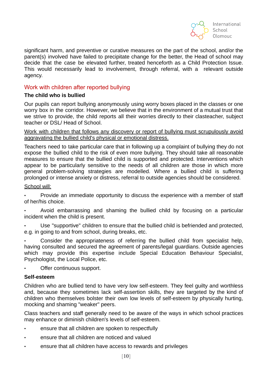

significant harm, and preventive or curative measures on the part of the school, and/or the parent(s) involved have failed to precipitate change for the better, the Head of school may decide that the case be elevated further, treated henceforth as a Child Protection Issue. This would necessarily lead to involvement, through referral, with a relevant outside agency.

### Work with children after reported bullying

#### **The child who is bullied**

Our pupils can report bullying anonymously using worry boxes placed in the classes or one worry box in the corridor. However, we believe that in the environment of a mutual trust that we strive to provide, the child reports all their worries directly to their clasteacher, subject teacher or DSL/ Head of School.

Work with children that follows any discovery or report of bullying must scrupulously avoid aggravating the bullied child's physical or emotional distress.

Teachers need to take particular care that in following up a complaint of bullying they do not expose the bullied child to the risk of even more bullying. They should take all reasonable measures to ensure that the bullied child is supported and protected. Interventions which appear to be particularly sensitive to the needs of all children are those in which more general problem-solving strategies are modelled. Where a bullied child is suffering prolonged or intense anxiety or distress, referral to outside agencies should be considered.

#### School will:

• Provide an immediate opportunity to discuss the experience with a member of staff of her/his choice.

- Avoid embarrassing and shaming the bullied child by focusing on a particular incident when the child is present.
- Use "supportive" children to ensure that the bullied child is befriended and protected, e.g. in going to and from school, during breaks, etc.

• Consider the appropriateness of referring the bullied child from specialist help, having consulted and secured the agreement of parents/legal guardians. Outside agencies which may provide this expertise include Special Education Behaviour Specialist, Psychologist, the Local Police, etc.

Offer continuous support.

#### **Self-esteem**

Children who are bullied tend to have very low self-esteem. They feel guilty and worthless and, because they sometimes lack self-assertion skills, they are targeted by the kind of children who themselves bolster their own low levels of self-esteem by physically hurting, mocking and shaming "weaker" peers.

Class teachers and staff generally need to be aware of the ways in which school practices may enhance or diminish children's levels of self-esteem.

- ensure that all children are spoken to respectfully
- ensure that all children are noticed and valued
- ensure that all children have access to rewards and privileges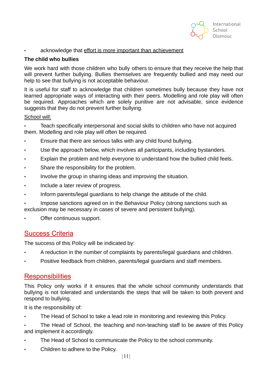

#### acknowledge that effort is more important than achievement

#### **The child who bullies**

We work hard with those children who bully others to ensure that they receive the help that will prevent further bullying. Bullies themselves are frequently bullied and may need our help to see that bullying is not acceptable behaviour.

It is useful for staff to acknowledge that children sometimes bully because they have not learned appropriate ways of interacting with their peers. Modelling and role play will often be required. Approaches which are solely punitive are not advisable, since evidence suggests that they do not prevent further bullying.

#### School will:

• Teach specifically interpersonal and social skills to children who have not acquired them. Modelling and role play will often be required.

- Ensure that there are serious talks with any child found bullying.
- Use the approach below, which involves all participants, including bystanders.
- Explain the problem and help everyone to understand how the bullied child feels.
- Share the responsibility for the problem.
- Involve the group in sharing ideas and improving the situation.
- Include a later review of progress.
- Inform parents/legal guardians to help change the attitude of the child.
- Impose sanctions agreed on in the Behaviour Policy (strong sanctions such as exclusion may be necessary in cases of severe and persistent bullying).
- Offer continuous support.

### Success Criteria

The success of this Policy will be indicated by:

- A reduction in the number of complaints by parents/legal guardians and children.
- Positive feedback from children, parents/legal guardians and staff members.

### **Responsibilities**

This Policy only works if it ensures that the whole school community understands that bullying is not tolerated and understands the steps that will be taken to both prevent and respond to bullying.

It is the responsibility of:

- The Head of School to take a lead role in monitoring and reviewing this Policy.
- The Head of School, the teaching and non-teaching staff to be aware of this Policy and implement it accordingly.
- The Head of School to communicate the Policy to the school community.
- Children to adhere to the Policy.